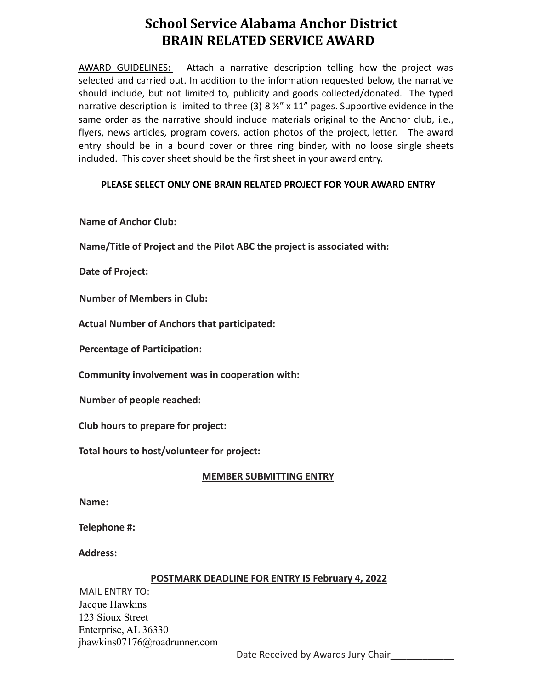# **School Service Alabama Anchor District BRAIN RELATED SERVICE AWARD**

AWARD GUIDELINES: Attach a narrative description telling how the project was selected and carried out. In addition to the information requested below, the narrative should include, but not limited to, publicity and goods collected/donated. The typed narrative description is limited to three (3) 8  $\frac{1}{2}$ " x 11" pages. Supportive evidence in the same order as the narrative should include materials original to the Anchor club, i.e., flyers, news articles, program covers, action photos of the project, letter. The award entry should be in a bound cover or three ring binder, with no loose single sheets included. This cover sheet should be the first sheet in your award entry.

## **PLEASE SELECT ONLY ONE BRAIN RELATED PROJECT FOR YOUR AWARD ENTRY**

**Name of Anchor Club:**

**Name/Title of Project and the Pilot ABC the project is associated with:**

**Date of Project:**

**Number of Members in Club:**

**Actual Number of Anchors that participated:**

**Percentage of Participation:**

**Community involvement was in cooperation with:**

**Number of people reached:**

**Club hours to prepare for project:**

**Total hours to host/volunteer for project:**

#### **MEMBER SUBMITTING ENTRY**

**Name:**

**Telephone #:**

**Address:**

#### **POSTMARK DEADLINE FOR ENTRY IS February 4, 2022**

MAIL ENTRY TO: Jacque Hawkins 123 Sioux Street Enterprise, AL 36330 jhawkins07176@roadrunner.com

Date Received by Awards Jury Chair